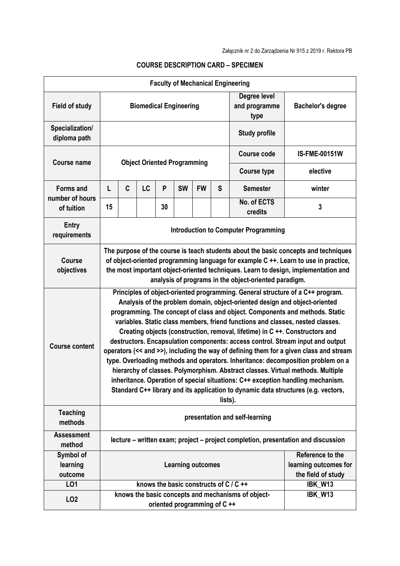| <b>Faculty of Mechanical Engineering</b> |                                                                                                                                                                                                                                                                                                                                                                                                                                                                                                                                                                                                                                                                                                                                                                                                                                                                                                                                                       |   |                                        |    |                             |           |                                       |                                                    |                      |
|------------------------------------------|-------------------------------------------------------------------------------------------------------------------------------------------------------------------------------------------------------------------------------------------------------------------------------------------------------------------------------------------------------------------------------------------------------------------------------------------------------------------------------------------------------------------------------------------------------------------------------------------------------------------------------------------------------------------------------------------------------------------------------------------------------------------------------------------------------------------------------------------------------------------------------------------------------------------------------------------------------|---|----------------------------------------|----|-----------------------------|-----------|---------------------------------------|----------------------------------------------------|----------------------|
| <b>Field of study</b>                    | <b>Biomedical Engineering</b>                                                                                                                                                                                                                                                                                                                                                                                                                                                                                                                                                                                                                                                                                                                                                                                                                                                                                                                         |   |                                        |    |                             |           | Degree level<br>and programme<br>type | <b>Bachelor's degree</b>                           |                      |
| Specialization/<br>diploma path          | <b>Study profile</b>                                                                                                                                                                                                                                                                                                                                                                                                                                                                                                                                                                                                                                                                                                                                                                                                                                                                                                                                  |   |                                        |    |                             |           |                                       |                                                    |                      |
| <b>Course name</b>                       | <b>Object Oriented Programming</b>                                                                                                                                                                                                                                                                                                                                                                                                                                                                                                                                                                                                                                                                                                                                                                                                                                                                                                                    |   |                                        |    |                             |           |                                       | <b>Course code</b>                                 | <b>IS-FME-00151W</b> |
|                                          |                                                                                                                                                                                                                                                                                                                                                                                                                                                                                                                                                                                                                                                                                                                                                                                                                                                                                                                                                       |   |                                        |    |                             |           |                                       | <b>Course type</b>                                 | elective             |
| <b>Forms and</b>                         | L                                                                                                                                                                                                                                                                                                                                                                                                                                                                                                                                                                                                                                                                                                                                                                                                                                                                                                                                                     | C | LC                                     | P  | <b>SW</b>                   | <b>FW</b> | S                                     | <b>Semester</b>                                    | winter               |
| number of hours<br>of tuition            | 15                                                                                                                                                                                                                                                                                                                                                                                                                                                                                                                                                                                                                                                                                                                                                                                                                                                                                                                                                    |   |                                        | 30 |                             |           |                                       | No. of ECTS<br>credits                             | 3                    |
| <b>Entry</b><br>requirements             | <b>Introduction to Computer Programming</b>                                                                                                                                                                                                                                                                                                                                                                                                                                                                                                                                                                                                                                                                                                                                                                                                                                                                                                           |   |                                        |    |                             |           |                                       |                                                    |                      |
| <b>Course</b><br>objectives              | The purpose of the course is teach students about the basic concepts and techniques<br>of object-oriented programming language for example C ++. Learn to use in practice,<br>the most important object-oriented techniques. Learn to design, implementation and<br>analysis of programs in the object-oriented paradigm.                                                                                                                                                                                                                                                                                                                                                                                                                                                                                                                                                                                                                             |   |                                        |    |                             |           |                                       |                                                    |                      |
| <b>Course content</b>                    | Principles of object-oriented programming. General structure of a C++ program.<br>Analysis of the problem domain, object-oriented design and object-oriented<br>programming. The concept of class and object. Components and methods. Static<br>variables. Static class members, friend functions and classes, nested classes.<br>Creating objects (construction, removal, lifetime) in C ++. Constructors and<br>destructors. Encapsulation components: access control. Stream input and output<br>operators (<< and >>), including the way of defining them for a given class and stream<br>type. Overloading methods and operators. Inheritance: decomposition problem on a<br>hierarchy of classes. Polymorphism. Abstract classes. Virtual methods. Multiple<br>inheritance. Operation of special situations: C++ exception handling mechanism.<br>Standard C++ library and its application to dynamic data structures (e.g. vectors,<br>lists). |   |                                        |    |                             |           |                                       |                                                    |                      |
| <b>Teaching</b><br>methods               | presentation and self-learning                                                                                                                                                                                                                                                                                                                                                                                                                                                                                                                                                                                                                                                                                                                                                                                                                                                                                                                        |   |                                        |    |                             |           |                                       |                                                    |                      |
| <b>Assessment</b><br>method              | lecture – written exam; project – project completion, presentation and discussion                                                                                                                                                                                                                                                                                                                                                                                                                                                                                                                                                                                                                                                                                                                                                                                                                                                                     |   |                                        |    |                             |           |                                       |                                                    |                      |
| Symbol of<br>learning<br>outcome         | Reference to the<br><b>Learning outcomes</b><br>learning outcomes for<br>the field of study                                                                                                                                                                                                                                                                                                                                                                                                                                                                                                                                                                                                                                                                                                                                                                                                                                                           |   |                                        |    |                             |           |                                       |                                                    |                      |
| LO1                                      |                                                                                                                                                                                                                                                                                                                                                                                                                                                                                                                                                                                                                                                                                                                                                                                                                                                                                                                                                       |   | knows the basic constructs of C / C ++ |    |                             |           |                                       |                                                    | IBK_W13              |
| LO <sub>2</sub>                          |                                                                                                                                                                                                                                                                                                                                                                                                                                                                                                                                                                                                                                                                                                                                                                                                                                                                                                                                                       |   |                                        |    | oriented programming of C++ |           |                                       | knows the basic concepts and mechanisms of object- | IBK_W13              |

## **COURSE DESCRIPTION CARD – SPECIMEN**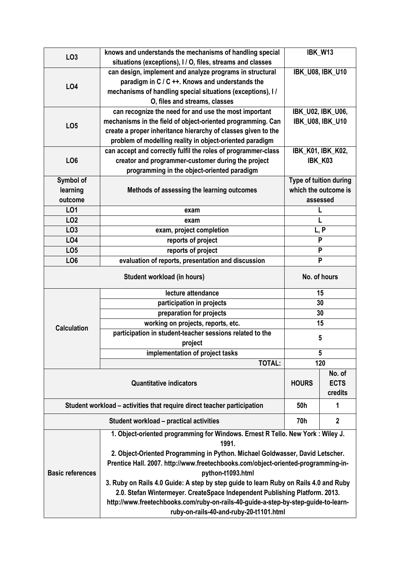| LO <sub>3</sub>         | knows and understands the mechanisms of handling special                             |                        | IBK_W13                  |  |  |  |  |  |
|-------------------------|--------------------------------------------------------------------------------------|------------------------|--------------------------|--|--|--|--|--|
|                         | situations (exceptions), I / O, files, streams and classes                           |                        |                          |  |  |  |  |  |
| <b>LO4</b>              | can design, implement and analyze programs in structural                             |                        | <b>IBK_U08, IBK_U10</b>  |  |  |  |  |  |
|                         | paradigm in C / C ++. Knows and understands the                                      |                        |                          |  |  |  |  |  |
|                         | mechanisms of handling special situations (exceptions), I/                           |                        |                          |  |  |  |  |  |
|                         | O, files and streams, classes                                                        |                        |                          |  |  |  |  |  |
|                         | can recognize the need for and use the most important                                |                        | <b>IBK_U02, IBK_U06,</b> |  |  |  |  |  |
| LO <sub>5</sub>         | mechanisms in the field of object-oriented programming. Can                          |                        | <b>IBK U08, IBK U10</b>  |  |  |  |  |  |
|                         | create a proper inheritance hierarchy of classes given to the                        |                        |                          |  |  |  |  |  |
|                         | problem of modelling reality in object-oriented paradigm                             |                        |                          |  |  |  |  |  |
|                         | can accept and correctly fulfil the roles of programmer-class                        |                        | IBK_K01, IBK_K02,        |  |  |  |  |  |
| LO <sub>6</sub>         | creator and programmer-customer during the project                                   |                        | IBK_K03                  |  |  |  |  |  |
|                         | programming in the object-oriented paradigm                                          |                        |                          |  |  |  |  |  |
| Symbol of               |                                                                                      | Type of tuition during |                          |  |  |  |  |  |
| learning                | Methods of assessing the learning outcomes                                           | which the outcome is   |                          |  |  |  |  |  |
| outcome                 |                                                                                      | assessed               |                          |  |  |  |  |  |
| LO1                     | exam                                                                                 |                        |                          |  |  |  |  |  |
| LO <sub>2</sub>         | exam                                                                                 |                        |                          |  |  |  |  |  |
| LO <sub>3</sub>         | exam, project completion                                                             | L, P                   |                          |  |  |  |  |  |
| LO4                     | reports of project                                                                   | P                      |                          |  |  |  |  |  |
| LO <sub>5</sub>         | reports of project                                                                   | P                      |                          |  |  |  |  |  |
| LO <sub>6</sub>         | evaluation of reports, presentation and discussion                                   |                        | P                        |  |  |  |  |  |
|                         | No. of hours                                                                         |                        |                          |  |  |  |  |  |
|                         | lecture attendance                                                                   | 15                     |                          |  |  |  |  |  |
|                         | participation in projects                                                            | 30                     |                          |  |  |  |  |  |
|                         | preparation for projects                                                             | 30                     |                          |  |  |  |  |  |
| <b>Calculation</b>      | working on projects, reports, etc.                                                   | 15                     |                          |  |  |  |  |  |
|                         | participation in student-teacher sessions related to the                             | 5                      |                          |  |  |  |  |  |
|                         | project                                                                              |                        |                          |  |  |  |  |  |
|                         | implementation of project tasks                                                      | 5                      |                          |  |  |  |  |  |
|                         | <b>TOTAL:</b>                                                                        | 120                    |                          |  |  |  |  |  |
|                         |                                                                                      | No. of                 |                          |  |  |  |  |  |
|                         | <b>Quantitative indicators</b>                                                       | <b>HOURS</b>           | <b>ECTS</b>              |  |  |  |  |  |
|                         |                                                                                      | credits                |                          |  |  |  |  |  |
|                         | Student workload – activities that require direct teacher participation              | 50h                    | 1                        |  |  |  |  |  |
|                         | 70h                                                                                  | $\boldsymbol{2}$       |                          |  |  |  |  |  |
|                         | 1. Object-oriented programming for Windows. Ernest R Tello. New York: Wiley J.       |                        |                          |  |  |  |  |  |
|                         | 1991.                                                                                |                        |                          |  |  |  |  |  |
| <b>Basic references</b> | 2. Object-Oriented Programming in Python. Michael Goldwasser, David Letscher.        |                        |                          |  |  |  |  |  |
|                         | Prentice Hall. 2007. http://www.freetechbooks.com/object-oriented-programming-in-    |                        |                          |  |  |  |  |  |
|                         | python-t1093.html                                                                    |                        |                          |  |  |  |  |  |
|                         | 3. Ruby on Rails 4.0 Guide: A step by step guide to learn Ruby on Rails 4.0 and Ruby |                        |                          |  |  |  |  |  |
|                         | 2.0. Stefan Wintermeyer. CreateSpace Independent Publishing Platform. 2013.          |                        |                          |  |  |  |  |  |
|                         | http://www.freetechbooks.com/ruby-on-rails-40-guide-a-step-by-step-guide-to-learn-   |                        |                          |  |  |  |  |  |
|                         | ruby-on-rails-40-and-ruby-20-t1101.html                                              |                        |                          |  |  |  |  |  |